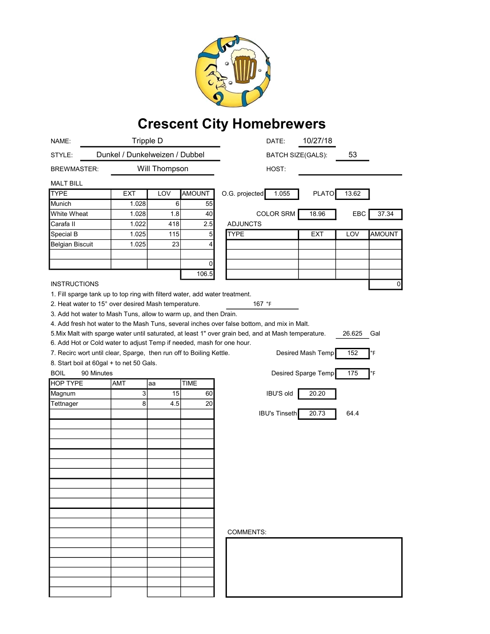

## Crescent City Homebrewers